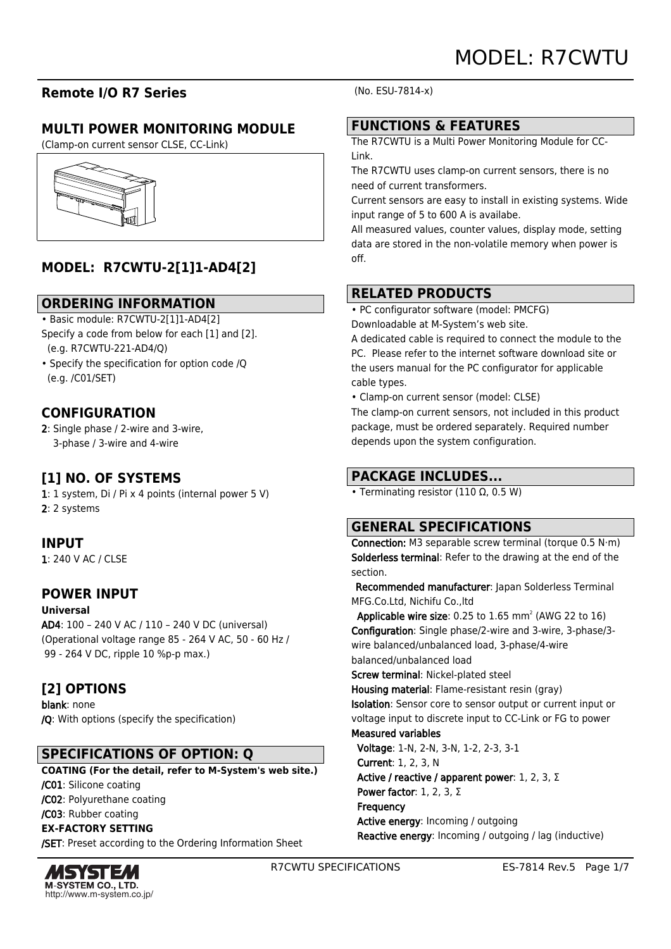# **Remote I/O R7 Series**

# **MULTI POWER MONITORING MODULE**

(Clamp-on current sensor CLSE, CC-Link)



# **MODEL: R7CWTU-2[1]1-AD4[2]**

### **ORDERING INFORMATION**

• Basic module: R7CWTU-2[1]1-AD4[2]

- Specify a code from below for each [1] and [2]. (e.g. R7CWTU-221-AD4/Q)
- Specify the specification for option code /Q (e.g. /C01/SET)

# **CONFIGURATION**

2: Single phase / 2-wire and 3-wire, 3-phase / 3-wire and 4-wire

## **[1] NO. OF SYSTEMS**

1: 1 system, Di / Pi x 4 points (internal power 5 V) 2: 2 systems

## **INPUT**

1: 240 V AC / CLSE

### **POWER INPUT**

**Universal**

AD4: 100 – 240 V AC / 110 – 240 V DC (universal) (Operational voltage range 85 - 264 V AC, 50 - 60 Hz / 99 - 264 V DC, ripple 10 %p-p max.)

# **[2] OPTIONS**

blank: none /Q: With options (specify the specification)

# **SPECIFICATIONS OF OPTION: Q**

**COATING (For the detail, refer to M-System's web site.)** /C01: Silicone coating /C02: Polyurethane coating /C03: Rubber coating **EX-FACTORY SETTING** /SET: Preset according to the Ordering Information Sheet



(No. ESU-7814-x)

## **FUNCTIONS & FEATURES**

The R7CWTU is a Multi Power Monitoring Module for CC-Link.

The R7CWTU uses clamp-on current sensors, there is no need of current transformers.

Current sensors are easy to install in existing systems. Wide input range of 5 to 600 A is availabe.

All measured values, counter values, display mode, setting data are stored in the non-volatile memory when power is off.

# **RELATED PRODUCTS**

• PC configurator software (model: PMCFG) Downloadable at M-System's web site.

A dedicated cable is required to connect the module to the PC. Please refer to the internet software download site or the users manual for the PC configurator for applicable cable types.

• Clamp-on current sensor (model: CLSE)

The clamp-on current sensors, not included in this product package, must be ordered separately. Required number depends upon the system configuration.

# **PACKAGE INCLUDES...**

• Terminating resistor (110 Ω, 0.5 W)

## **GENERAL SPECIFICATIONS**

Connection: M3 separable screw terminal (torque 0.5 N·m) Solderless terminal: Refer to the drawing at the end of the section.

 Recommended manufacturer: Japan Solderless Terminal MFG.Co.Ltd, Nichifu Co.,ltd

**Applicable wire size:** 0.25 to  $1.65$  mm<sup>2</sup> (AWG 22 to  $16$ ) Configuration: Single phase/2-wire and 3-wire, 3-phase/3 wire balanced/unbalanced load, 3-phase/4-wire balanced/unbalanced load

Screw terminal: Nickel-plated steel

Housing material: Flame-resistant resin (gray) Isolation: Sensor core to sensor output or current input or voltage input to discrete input to CC-Link or FG to power Measured variables

Voltage: 1-N, 2-N, 3-N, 1-2, 2-3, 3-1

 Current: 1, 2, 3, N Active / reactive / apparent power: 1, 2, 3, Σ Power factor: 1, 2, 3, Σ **Frequency**  Active energy: Incoming / outgoing Reactive energy: Incoming / outgoing / lag (inductive)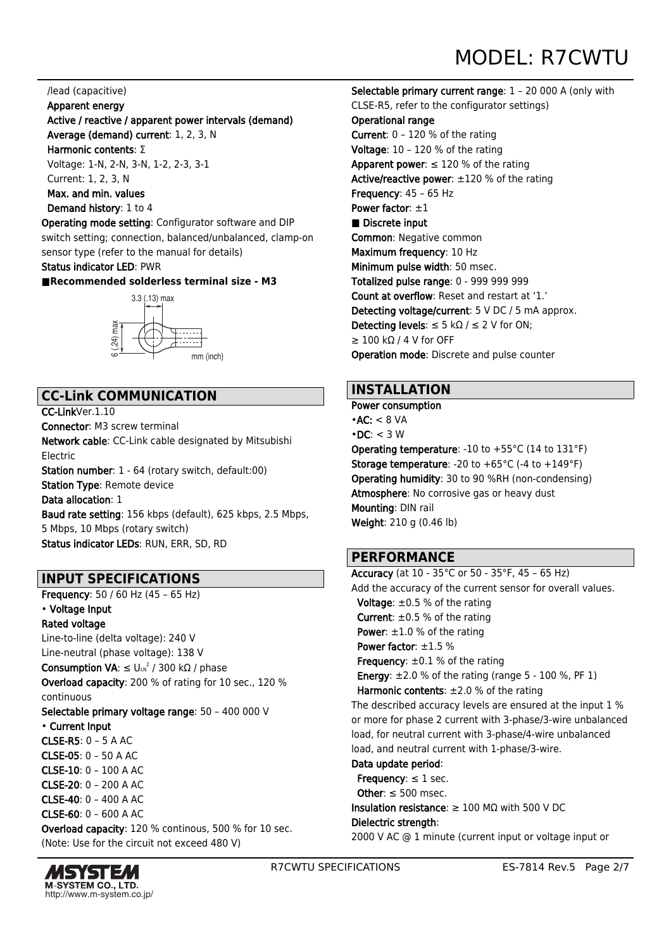#### /lead (capacitive)

#### Apparent energy

### Active / reactive / apparent power intervals (demand)

 Average (demand) current: 1, 2, 3, N Harmonic contents: Σ

 Voltage: 1-N, 2-N, 3-N, 1-2, 2-3, 3-1 Current: 1, 2, 3, N

Max. and min. values

#### Demand history: 1 to 4

Operating mode setting: Configurator software and DIP switch setting; connection, balanced/unbalanced, clamp-on sensor type (refer to the manual for details)

#### Status indicator LED: PWR

#### **■Recommended solderless terminal size - M3**



### **CC-Link COMMUNICATION**

CC-LinkVer.1.10 Connector: M3 screw terminal Network cable: CC-Link cable designated by Mitsubishi Electric Station number: 1 - 64 (rotary switch, default:00) Station Type: Remote device Data allocation: 1 Baud rate setting: 156 kbps (default), 625 kbps, 2.5 Mbps, 5 Mbps, 10 Mbps (rotary switch) Status indicator LEDs: RUN, ERR, SD, RD

## **INPUT SPECIFICATIONS**

Frequency: 50 / 60 Hz (45 – 65 Hz)

### • Voltage Input

Rated voltage Line-to-line (delta voltage): 240 V Line-neutral (phase voltage): 138 V

**Consumption VA**: ≤ Uιη<sup>2</sup> / 300 kΩ / phase

Overload capacity: 200 % of rating for 10 sec., 120 % continuous

Selectable primary voltage range: 50 – 400 000 V • Current Input CLSE-R5: 0 – 5 A AC CLSE-05: 0 – 50 A AC CLSE-10: 0 – 100 A AC CLSE-20: 0 – 200 A AC CLSE-40: 0 – 400 A AC CLSE-60: 0 – 600 A AC Overload capacity: 120 % continous, 500 % for 10 sec.

(Note: Use for the circuit not exceed 480 V)



Selectable primary current range: 1 – 20 000 A (only with CLSE-R5, refer to the configurator settings) Operational range Current: 0 – 120 % of the rating Voltage: 10 – 120 % of the rating Apparent power:  $\leq 120$  % of the rating Active/reactive power: ±120 % of the rating Frequency: 45 – 65 Hz Power factor:  $\pm 1$ ■ Discrete input Common: Negative common Maximum frequency: 10 Hz Minimum pulse width: 50 msec. Totalized pulse range: 0 - 999 999 999 Count at overflow: Reset and restart at '1.' Detecting voltage/current: 5 V DC / 5 mA approx. Detecting levels:  $\leq$  5 kΩ /  $\leq$  2 V for ON;  $\geq 100$  kΩ / 4 V for OFF Operation mode: Discrete and pulse counter

### **INSTALLATION**

Power consumption  $\cdot$ AC:  $<$  8 VA  $\cdot$  DC:  $<$  3 W **Operating temperature:** -10 to  $+55^{\circ}$ C (14 to 131 $^{\circ}$ F) **Storage temperature: -20 to +65 °C (-4 to +149 °F)** Operating humidity: 30 to 90 %RH (non-condensing) Atmosphere: No corrosive gas or heavy dust Mounting: DIN rail

Weight: 210 g (0.46 lb)

## **PERFORMANCE**

Accuracy (at 10 - 35°C or 50 - 35°F, 45 – 65 Hz) Add the accuracy of the current sensor for overall values. **Voltage:**  $\pm 0.5$  % of the rating **Current:**  $\pm 0.5$  % of the rating **Power:**  $\pm 1.0$  % of the rating Power factor: ±1.5 % **Frequency:**  $\pm 0.1$  % of the rating **Energy:**  $\pm 2.0$  % of the rating (range  $5 - 100$  %, PF 1) Harmonic contents:  $\pm 2.0$  % of the rating The described accuracy levels are ensured at the input 1 % or more for phase 2 current with 3-phase/3-wire unbalanced load, for neutral current with 3-phase/4-wire unbalanced load, and neutral current with 1-phase/3-wire. Data update period: Frequency:  $\leq 1$  sec. Other:  $\leq 500$  msec. Insulation resistance: ≥ 100 MΩ with 500 V DC Dielectric strength: 2000 V AC @ 1 minute (current input or voltage input or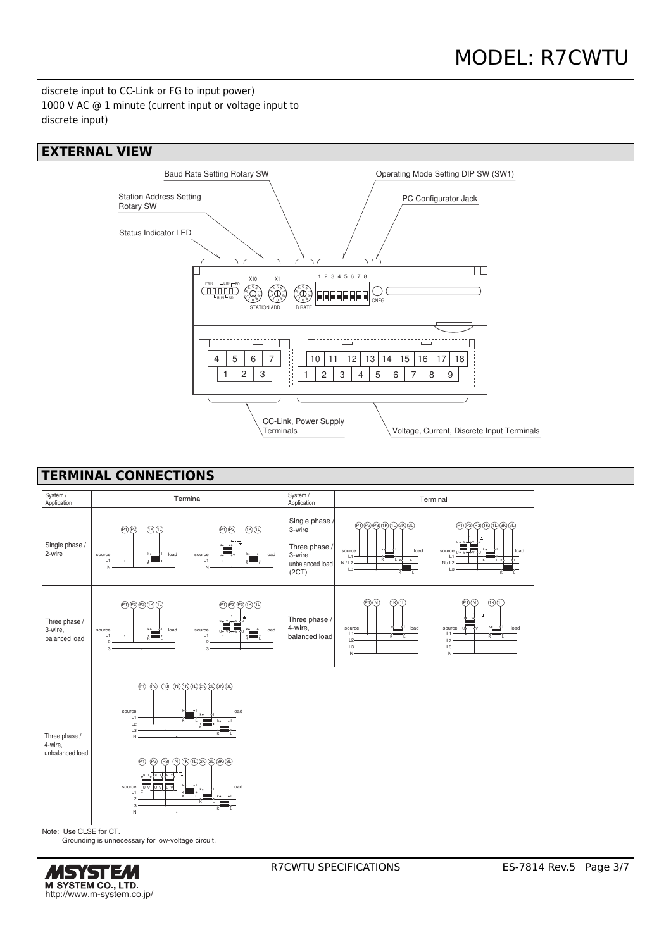discrete input to CC-Link or FG to input power) 1000 V AC @ 1 minute (current input or voltage input to discrete input)

### **EXTERNAL VIEW**



## **TERMINAL CONNECTIONS**



Grounding is unnecessary for low-voltage circuit.

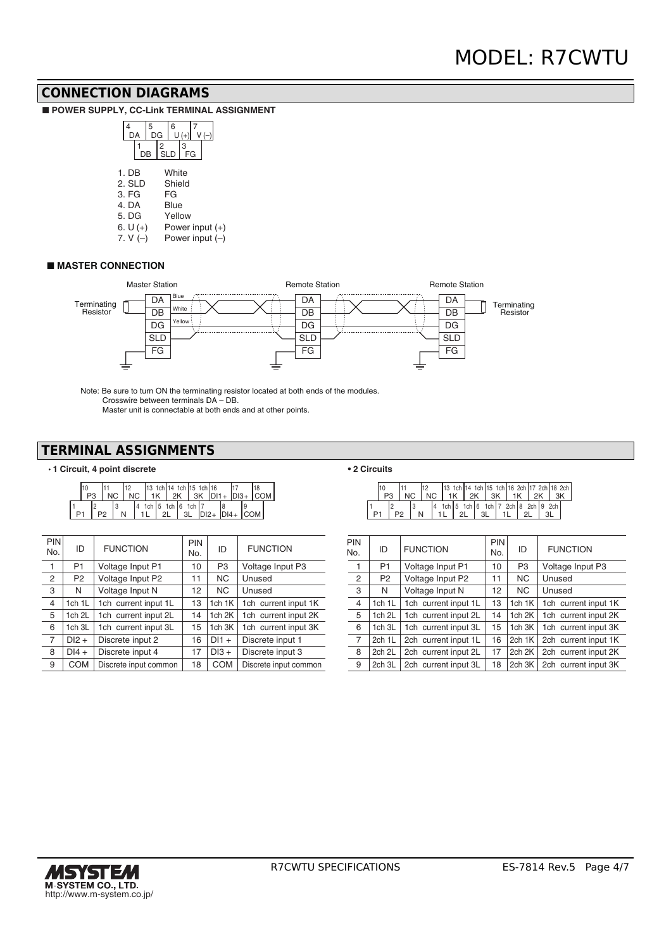### **CONNECTION DIAGRAMS**

■ **POWER SUPPLY, CC-Link TERMINAL ASSIGNMENT** 

|       |         |                 | 5<br>DG |             | 6      | $(+)$   |  |  |                   |
|-------|---------|-----------------|---------|-------------|--------|---------|--|--|-------------------|
|       |         | DB              |         | $I_{SLD}^2$ |        | 3<br>FG |  |  |                   |
|       | $1.$ DB |                 |         |             | White  |         |  |  |                   |
|       |         | 2. SLD          |         |             | Shield |         |  |  |                   |
| 3. FG |         |                 | FG      |             |        |         |  |  |                   |
|       | 4. DA   |                 |         |             | Blue   |         |  |  |                   |
|       | 5. DG   |                 |         |             |        | Yellow  |  |  | Power input $(+)$ |
|       |         | 6. $U (+)$<br>. |         |             |        |         |  |  |                   |

7. V (–) Power input (–)

#### ■ **MASTER CONNECTION**



Note: Be sure to turn ON the terminating resistor located at both ends of the modules. Crosswire between terminals DA – DB. Master unit is connectable at both ends and at other points.

### **TERMINAL ASSIGNMENTS**

#### • **1 Circuit, 4 point discrete**

| P <sub>3</sub> |  | 112 |  | 13 1ch 14 1ch 15 1ch 16 |  |  |  | $NC$   $NC$   $1K$   $2K$   $3K$   $D11+$ $ D13+$   $COM$ |  |
|----------------|--|-----|--|-------------------------|--|--|--|-----------------------------------------------------------|--|
|                |  |     |  | 1ch 5 1ch 6 1ch 7       |  |  |  | $11$ 2L $3$ DI2+ DI4+ COM                                 |  |

| <b>PIN</b><br>No. | ID                | <b>FUNCTION</b>       | PIN<br>No. | ID                 | <b>FUNCTION</b>       | PIN<br>No.     |
|-------------------|-------------------|-----------------------|------------|--------------------|-----------------------|----------------|
| 1                 | P <sub>1</sub>    | Voltage Input P1      | 10         | P <sub>3</sub>     | Voltage Input P3      | 1              |
| 2                 | P <sub>2</sub>    | Voltage Input P2      | 11         | NC.                | Unused                | $\overline{2}$ |
| 3                 | N                 | Voltage Input N       | 12         | <b>NC</b>          | Unused                | 3              |
| $\overline{4}$    | 1ch 1L            | 1ch current input 1L  | 13         | 1 $ch$ 1 $K$       | 1ch current input 1K  | $\overline{4}$ |
| 5                 | 1ch <sub>2L</sub> | 1ch current input 2L  | 14         | 1 <sub>ch</sub> 2K | 1ch current input 2K  | 5              |
| 6                 | 1ch 3L            | 1ch current input 3L  | 15         | 1ch 3K             | 1ch current input 3K  | 6              |
| 7                 | $DI2 +$           | Discrete input 2      | 16         | $DI1 +$            | Discrete input 1      | $\overline{7}$ |
| 8                 | $DI4 +$           | Discrete input 4      | 17         | $DI3 +$            | Discrete input 3      | 8              |
| 9                 | <b>COM</b>        | Discrete input common | 18         | <b>COM</b>         | Discrete input common | 9              |

#### **• 2 Circuits**

|  |  |  |  |                                       |    | 13 1ch 14 1ch 15 1ch 16 2ch 17 2ch 18 2ch |  |  |  |  |
|--|--|--|--|---------------------------------------|----|-------------------------------------------|--|--|--|--|
|  |  |  |  | NC 1 1K 2K 3K 1 1K 2K 1 3K            |    |                                           |  |  |  |  |
|  |  |  |  | 14 1ch15 1ch16 1ch17 2ch18 2ch19 2ch1 |    |                                           |  |  |  |  |
|  |  |  |  |                                       | 21 | -3L                                       |  |  |  |  |

| PIN<br>No.     | ID                | <b>FUNCTION</b>      | PIN<br>No.        | ID                | <b>FUNCTION</b>             |
|----------------|-------------------|----------------------|-------------------|-------------------|-----------------------------|
| 1              | P1                | Voltage Input P1     | 10                | P <sub>3</sub>    | Voltage Input P3            |
| 2              | P <sub>2</sub>    | Voltage Input P2     | 11                | NC.               | Unused                      |
| 3              | N                 | Voltage Input N      | $12 \overline{ }$ | NC.               | Unused                      |
| $\overline{4}$ | 1ch 1L            | 1ch current input 1L | 13                | 1ch 1K            | 1ch current input 1K        |
| 5              | 1ch <sub>2L</sub> | 1ch current input 2L | 14                | 1ch <sub>2K</sub> | 1ch current input 2K        |
| 6              | 1ch 3L            | 1ch current input 3L | 15                | 1ch 3K            | 1ch current input 3K        |
| 7              | 2ch 1L            | 2ch current input 1L | 16                | 2ch 1K            | 2ch current input 1K        |
| 8              | 2ch 2L            | 2ch current input 2L | 17                | 2ch 2K            | 2ch current input 2K        |
| 9              | 2ch 3L            | 2ch current input 3L | 18                |                   | 2ch 3K 2ch current input 3K |

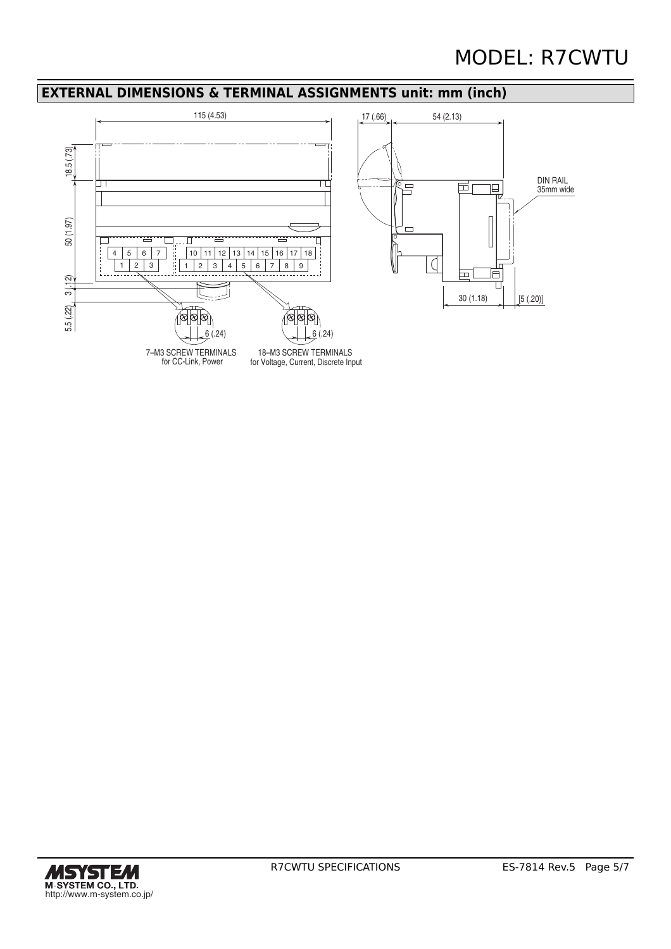# MODEL: R7CWTU

### **EXTERNAL DIMENSIONS & TERMINAL ASSIGNMENTS unit: mm (inch)**



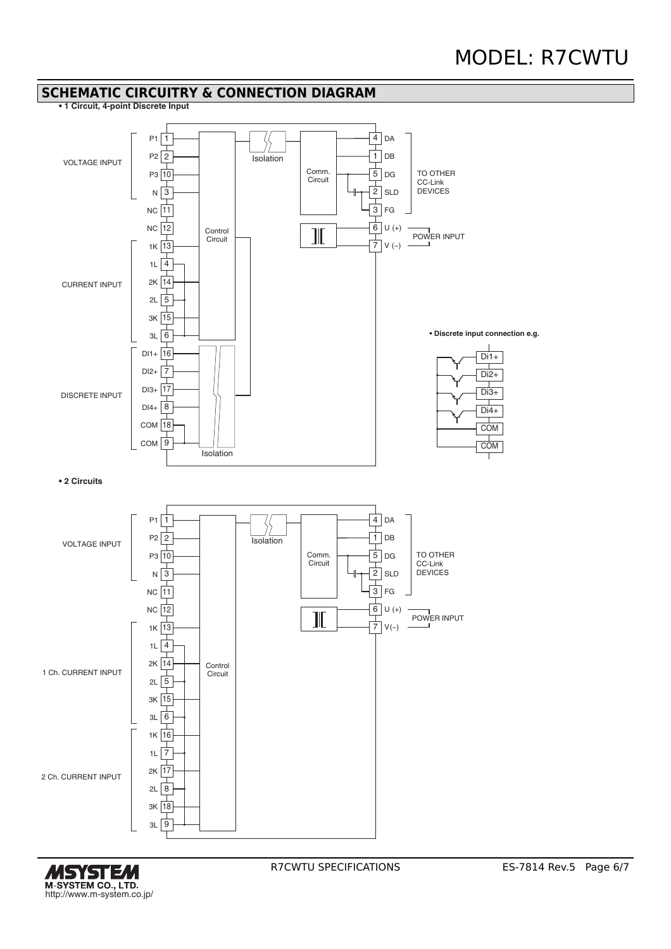### **SCHEMATIC CIRCUITRY & CONNECTION DIAGRAM**

**• 1 Circuit, 4-point Discrete Input**